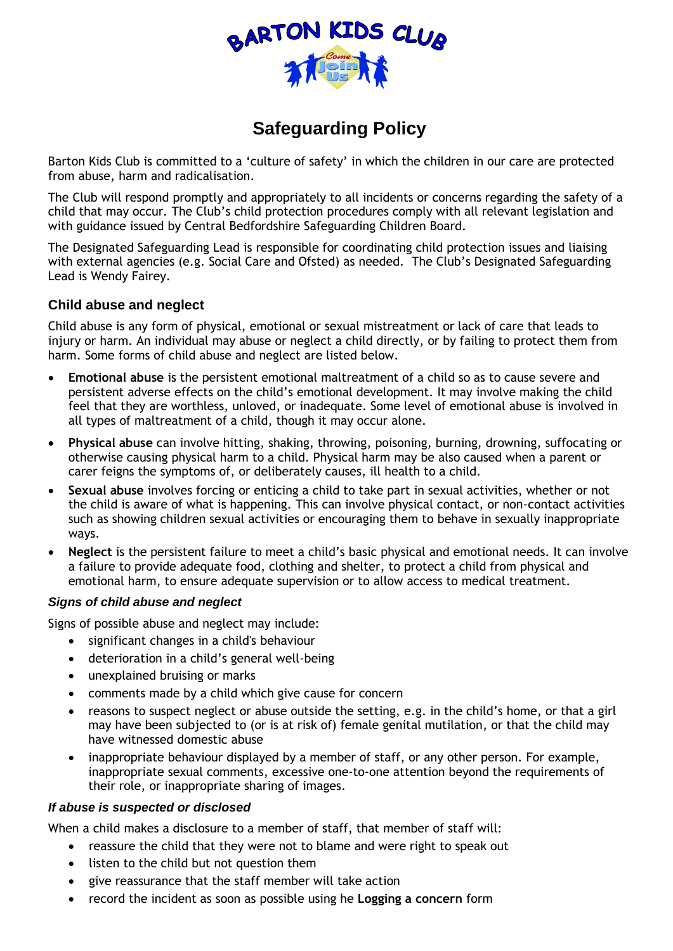

# **Safeguarding Policy**

Barton Kids Club is committed to a 'culture of safety' in which the children in our care are protected from abuse, harm and radicalisation.

The Club will respond promptly and appropriately to all incidents or concerns regarding the safety of a child that may occur. The Club's child protection procedures comply with all relevant legislation and with guidance issued by Central Bedfordshire Safeguarding Children Board.

The Designated Safeguarding Lead is responsible for coordinating child protection issues and liaising with external agencies (e.g. Social Care and Ofsted) as needed. The Club's Designated Safeguarding Lead is Wendy Fairey.

## **Child abuse and neglect**

Child abuse is any form of physical, emotional or sexual mistreatment or lack of care that leads to injury or harm. An individual may abuse or neglect a child directly, or by failing to protect them from harm. Some forms of child abuse and neglect are listed below.

- **Emotional abuse** is the persistent emotional maltreatment of a child so as to cause severe and persistent adverse effects on the child's emotional development. It may involve making the child feel that they are worthless, unloved, or inadequate. Some level of emotional abuse is involved in all types of maltreatment of a child, though it may occur alone.
- **Physical abuse** can involve hitting, shaking, throwing, poisoning, burning, drowning, suffocating or otherwise causing physical harm to a child. Physical harm may be also caused when a parent or carer feigns the symptoms of, or deliberately causes, ill health to a child.
- **Sexual abuse** involves forcing or enticing a child to take part in sexual activities, whether or not the child is aware of what is happening. This can involve physical contact, or non-contact activities such as showing children sexual activities or encouraging them to behave in sexually inappropriate ways.
- **Neglect** is the persistent failure to meet a child's basic physical and emotional needs. It can involve a failure to provide adequate food, clothing and shelter, to protect a child from physical and emotional harm, to ensure adequate supervision or to allow access to medical treatment.

#### *Signs of child abuse and neglect*

Signs of possible abuse and neglect may include:

- significant changes in a child's behaviour
- deterioration in a child's general well-being
- unexplained bruising or marks
- comments made by a child which give cause for concern
- reasons to suspect neglect or abuse outside the setting, e.g. in the child's home, or that a girl may have been subjected to (or is at risk of) female genital mutilation, or that the child may have witnessed domestic abuse
- inappropriate behaviour displayed by a member of staff, or any other person. For example, inappropriate sexual comments, excessive one-to-one attention beyond the requirements of their role, or inappropriate sharing of images.

#### *If abuse is suspected or disclosed*

When a child makes a disclosure to a member of staff, that member of staff will:

- reassure the child that they were not to blame and were right to speak out
- listen to the child but not question them
- give reassurance that the staff member will take action
- record the incident as soon as possible using he **Logging a concern** form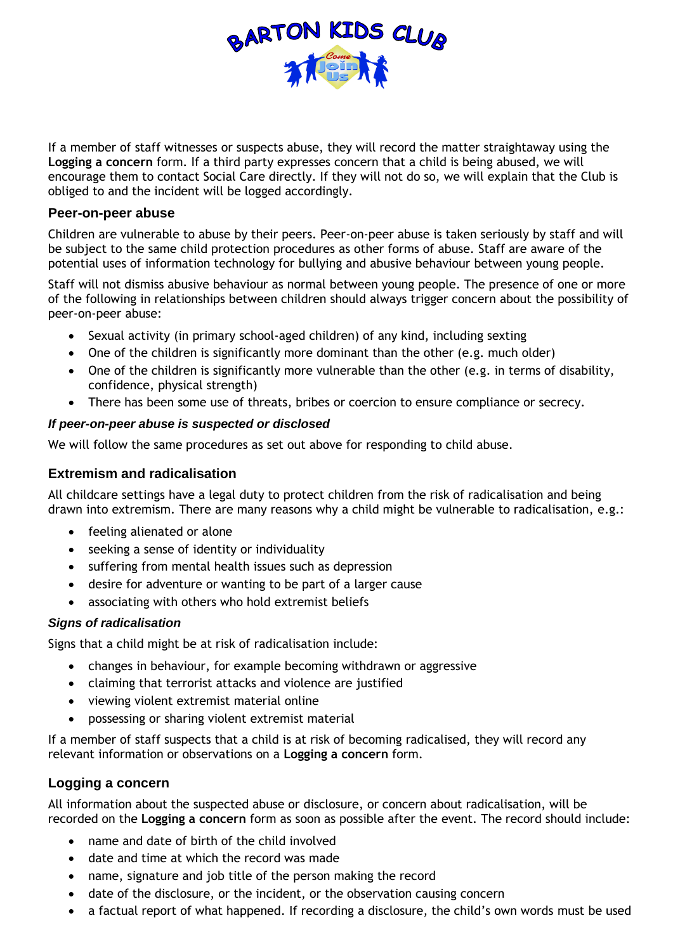

If a member of staff witnesses or suspects abuse, they will record the matter straightaway using the **Logging a concern** form. If a third party expresses concern that a child is being abused, we will encourage them to contact Social Care directly. If they will not do so, we will explain that the Club is obliged to and the incident will be logged accordingly.

#### **Peer-on-peer abuse**

Children are vulnerable to abuse by their peers. Peer-on-peer abuse is taken seriously by staff and will be subject to the same child protection procedures as other forms of abuse. Staff are aware of the potential uses of information technology for bullying and abusive behaviour between young people.

Staff will not dismiss abusive behaviour as normal between young people. The presence of one or more of the following in relationships between children should always trigger concern about the possibility of peer-on-peer abuse:

- Sexual activity (in primary school-aged children) of any kind, including sexting
- One of the children is significantly more dominant than the other (e.g. much older)
- One of the children is significantly more vulnerable than the other (e.g. in terms of disability, confidence, physical strength)
- There has been some use of threats, bribes or coercion to ensure compliance or secrecy.

#### *If peer-on-peer abuse is suspected or disclosed*

We will follow the same procedures as set out above for responding to child abuse.

#### **Extremism and radicalisation**

All childcare settings have a legal duty to protect children from the risk of radicalisation and being drawn into extremism. There are many reasons why a child might be vulnerable to radicalisation, e.g.:

- feeling alienated or alone
- seeking a sense of identity or individuality
- suffering from mental health issues such as depression
- desire for adventure or wanting to be part of a larger cause
- associating with others who hold extremist beliefs

## *Signs of radicalisation*

Signs that a child might be at risk of radicalisation include:

- changes in behaviour, for example becoming withdrawn or aggressive
- claiming that terrorist attacks and violence are justified
- viewing violent extremist material online
- possessing or sharing violent extremist material

If a member of staff suspects that a child is at risk of becoming radicalised, they will record any relevant information or observations on a **Logging a concern** form.

## **Logging a concern**

All information about the suspected abuse or disclosure, or concern about radicalisation, will be recorded on the **Logging a concern** form as soon as possible after the event. The record should include:

- name and date of birth of the child involved
- date and time at which the record was made
- name, signature and job title of the person making the record
- date of the disclosure, or the incident, or the observation causing concern
- a factual report of what happened. If recording a disclosure, the child's own words must be used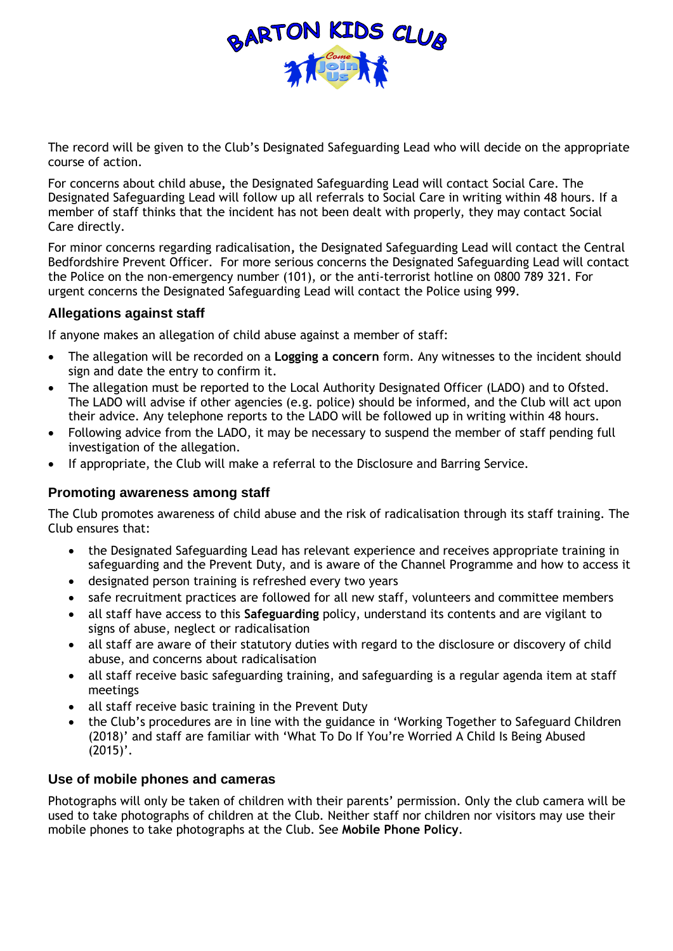

The record will be given to the Club's Designated Safeguarding Lead who will decide on the appropriate course of action.

For concerns about child abuse**,** the Designated Safeguarding Lead will contact Social Care. The Designated Safeguarding Lead will follow up all referrals to Social Care in writing within 48 hours. If a member of staff thinks that the incident has not been dealt with properly, they may contact Social Care directly.

For minor concerns regarding radicalisation**,** the Designated Safeguarding Lead will contact the Central Bedfordshire Prevent Officer. For more serious concerns the Designated Safeguarding Lead will contact the Police on the non-emergency number (101), or the anti-terrorist hotline on 0800 789 321. For urgent concerns the Designated Safeguarding Lead will contact the Police using 999.

# **Allegations against staff**

If anyone makes an allegation of child abuse against a member of staff:

- The allegation will be recorded on a **Logging a concern** form. Any witnesses to the incident should sign and date the entry to confirm it.
- The allegation must be reported to the Local Authority Designated Officer (LADO) and to Ofsted. The LADO will advise if other agencies (e.g. police) should be informed, and the Club will act upon their advice. Any telephone reports to the LADO will be followed up in writing within 48 hours.
- Following advice from the LADO, it may be necessary to suspend the member of staff pending full investigation of the allegation.
- If appropriate, the Club will make a referral to the Disclosure and Barring Service.

## **Promoting awareness among staff**

The Club promotes awareness of child abuse and the risk of radicalisation through its staff training. The Club ensures that:

- the Designated Safeguarding Lead has relevant experience and receives appropriate training in safeguarding and the Prevent Duty, and is aware of the Channel Programme and how to access it
- designated person training is refreshed every two years
- safe recruitment practices are followed for all new staff, volunteers and committee members
- all staff have access to this **Safeguarding** policy, understand its contents and are vigilant to signs of abuse, neglect or radicalisation
- all staff are aware of their statutory duties with regard to the disclosure or discovery of child abuse, and concerns about radicalisation
- all staff receive basic safeguarding training, and safeguarding is a regular agenda item at staff meetings
- all staff receive basic training in the Prevent Duty
- the Club's procedures are in line with the guidance in 'Working Together to Safeguard Children (2018)' and staff are familiar with 'What To Do If You're Worried A Child Is Being Abused  $(2015)'$ .

## **Use of mobile phones and cameras**

Photographs will only be taken of children with their parents' permission. Only the club camera will be used to take photographs of children at the Club. Neither staff nor children nor visitors may use their mobile phones to take photographs at the Club. See **Mobile Phone Policy**.